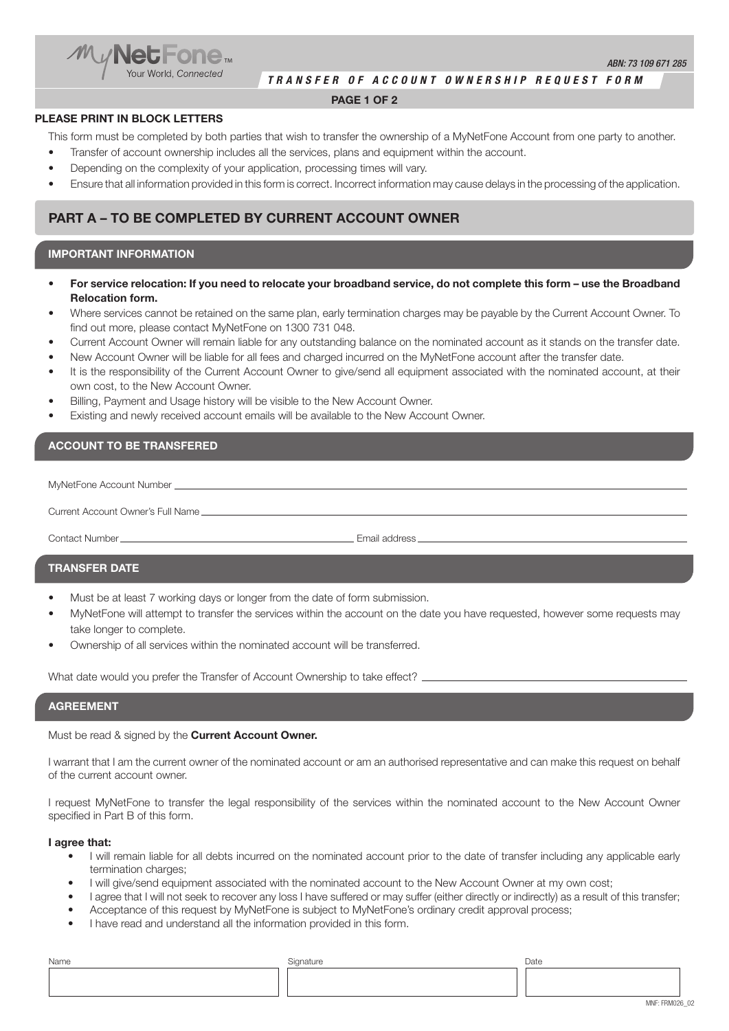*ABN: 73 109 671 285*

*T R A N S F E R O F A C C O U N T O W N E R S H I P R E Q U E S T F O R M*

#### **PAGE 1 OF 2**

## **PLEASE PRINT IN BLOCK LETTERS**

This form must be completed by both parties that wish to transfer the ownership of a MyNetFone Account from one party to another.

- Transfer of account ownership includes all the services, plans and equipment within the account.
- Depending on the complexity of your application, processing times will vary.

TM

Ensure that all information provided in this form is correct. Incorrect information may cause delays in the processing of the application.

# **PART A – TO BE COMPLETED BY CURRENT ACCOUNT OWNER**

### **IMPORTANT INFORMATION**

- **• For service relocation: If you need to relocate your broadband service, do not complete this form use the Broadband Relocation form.**
- Where services cannot be retained on the same plan, early termination charges may be payable by the Current Account Owner. To find out more, please contact MyNetFone on 1300 731 048.
- Current Account Owner will remain liable for any outstanding balance on the nominated account as it stands on the transfer date.
- New Account Owner will be liable for all fees and charged incurred on the MyNetFone account after the transfer date.
- It is the responsibility of the Current Account Owner to give/send all equipment associated with the nominated account, at their own cost, to the New Account Owner.
- Billing, Payment and Usage history will be visible to the New Account Owner.
- Existing and newly received account emails will be available to the New Account Owner.

## **ACCOUNT TO BE TRANSFERED**

MyNetFone Account Number

Current Account Owner's Full Name

Contact Number Email address

# **TRANSFER DATE**

- Must be at least 7 working days or longer from the date of form submission.
- MyNetFone will attempt to transfer the services within the account on the date you have requested, however some requests may take longer to complete.
- Ownership of all services within the nominated account will be transferred.

What date would you prefer the Transfer of Account Ownership to take effect?  $\perp$ 

#### **AGREEMENT**

Must be read & signed by the **Current Account Owner.**

I warrant that I am the current owner of the nominated account or am an authorised representative and can make this request on behalf of the current account owner.

I request MyNetFone to transfer the legal responsibility of the services within the nominated account to the New Account Owner specified in Part B of this form.

#### **I agree that:**

- I will remain liable for all debts incurred on the nominated account prior to the date of transfer including any applicable early termination charges;
- I will give/send equipment associated with the nominated account to the New Account Owner at my own cost;
- I agree that I will not seek to recover any loss I have suffered or may suffer (either directly or indirectly) as a result of this transfer;
- Acceptance of this request by MyNetFone is subject to MyNetFone's ordinary credit approval process;
- I have read and understand all the information provided in this form.

Name **Signature Signature Signature** Signature Date of the Date of the Date of the Date of the Date of the Date of the Date of the Date of the Date of the Date of the Date of the Date of the Date of the Date of the Date of